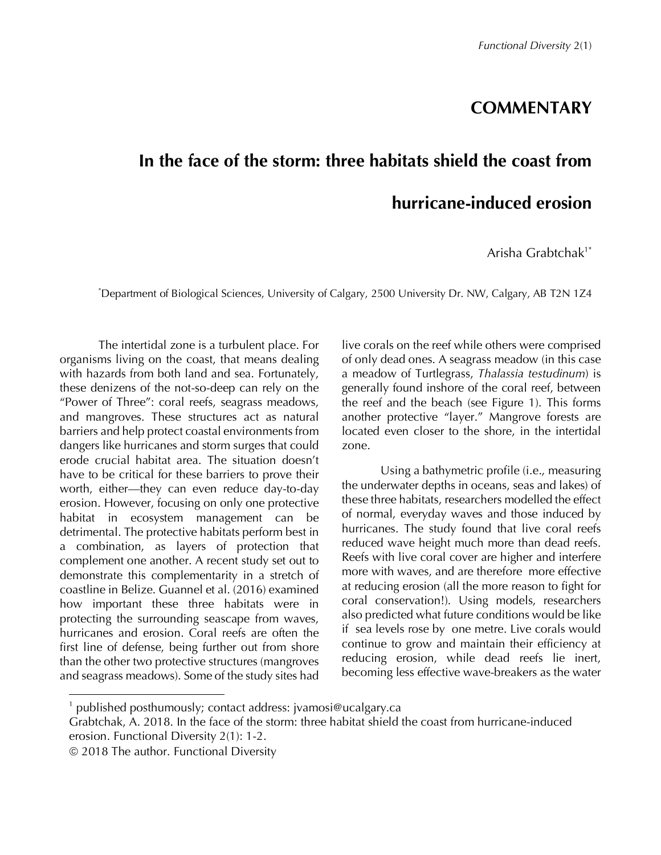## **COMMENTARY**

## **In the face of the storm: three habitats shield the coast from hurricane-induced erosion**

Arisha Grabtchak<sup>1\*</sup>

\* Department of Biological Sciences, University of Calgary, 2500 University Dr. NW, Calgary, AB T2N 1Z4

The intertidal zone is a turbulent place. For organisms living on the coast, that means dealing with hazards from both land and sea. Fortunately, these denizens of the not-so-deep can rely on the "Power of Three": coral reefs, seagrass meadows, and mangroves. These structures act as natural barriers and help protect coastal environments from dangers like hurricanes and storm surges that could erode crucial habitat area. The situation doesn't have to be critical for these barriers to prove their worth, either—they can even reduce day-to-day erosion. However, focusing on only one protective habitat in ecosystem management can be detrimental. The protective habitats perform best in a combination, as layers of protection that complement one another. A recent study set out to demonstrate this complementarity in a stretch of coastline in Belize. Guannel et al. (2016) examined how important these three habitats were in protecting the surrounding seascape from waves, hurricanes and erosion. Coral reefs are often the first line of defense, being further out from shore than the other two protective structures (mangroves and seagrass meadows). Some of the study sites had live corals on the reef while others were comprised of only dead ones. A seagrass meadow (in this case a meadow of Turtlegrass, *Thalassia testudinum*) is generally found inshore of the coral reef, between the reef and the beach (see Figure 1). This forms another protective "layer." Mangrove forests are located even closer to the shore, in the intertidal zone.

Using a bathymetric profile (i.e., measuring the underwater depths in oceans, seas and lakes) of these three habitats, researchers modelled the effect of normal, everyday waves and those induced by hurricanes. The study found that live coral reefs reduced wave height much more than dead reefs. Reefs with live coral cover are higher and interfere more with waves, and are therefore more effective at reducing erosion (all the more reason to fight for coral conservation!). Using models, researchers also predicted what future conditions would be like if sea levels rose by one metre. Live corals would continue to grow and maintain their efficiency at reducing erosion, while dead reefs lie inert, becoming less effective wave-breakers as the water

 

published posthumously; contact address: jvamosi@ucalgary.ca

Grabtchak, A. 2018. In the face of the storm: three habitat shield the coast from hurricane-induced erosion. Functional Diversity 2(1): 1-2.

ã 2018 The author. Functional Diversity